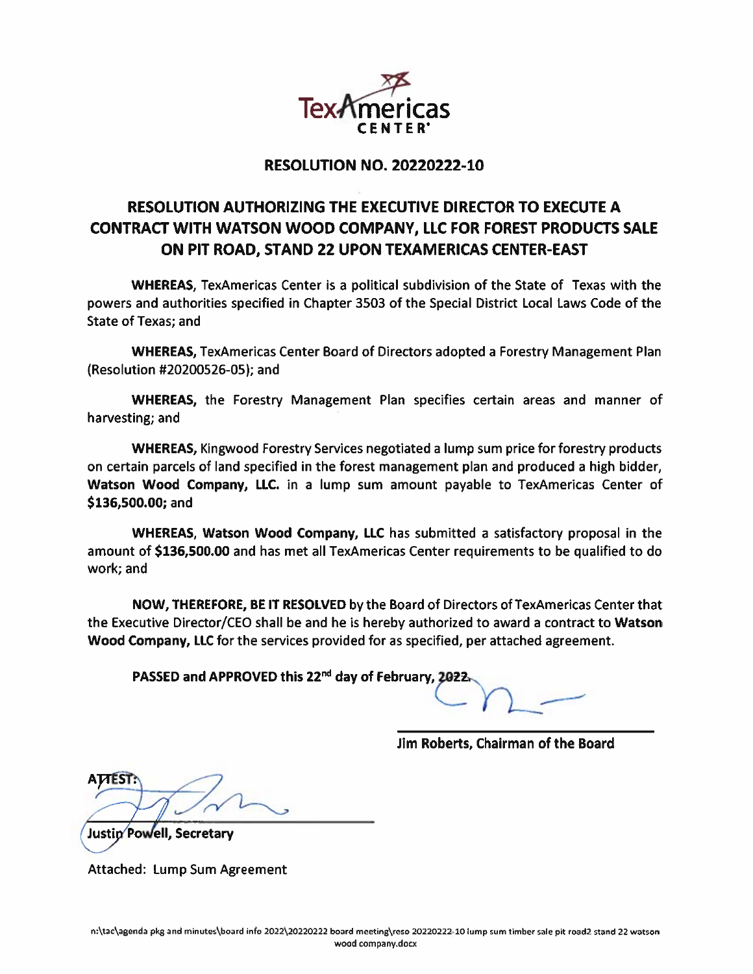

## **RESOLUTION NO. 20220222-10**

# RESOLUTION AUTHORIZING THE EXECUTIVE DIRECTOR TO EXECUTE A CONTRACT WITH WATSON WOOD COMPANY, LLC FOR FOREST PRODUCTS SALE ON PIT ROAD, STAND 22 UPON TEXAMERICAS CENTER-EAST

**WHEREAS, TexAmericas Center is a political subdivision of the State of Texas with the** powers and authorities specified in Chapter 3503 of the Special District Local Laws Code of the **State of Texas: and** 

WHEREAS, TexAmericas Center Board of Directors adopted a Forestry Management Plan (Resolution #20200526-05); and

WHEREAS, the Forestry Management Plan specifies certain areas and manner of harvesting; and

**WHEREAS, Kingwood Forestry Services negotiated a lump sum price for forestry products** on certain parcels of land specified in the forest management plan and produced a high bidder, Watson Wood Company, LLC. in a lump sum amount payable to TexAmericas Center of \$136,500.00; and

**WHEREAS, Watson Wood Company, LLC** has submitted a satisfactory proposal in the amount of \$136,500.00 and has met all TexAmericas Center requirements to be qualified to do work; and

NOW, THEREFORE, BE IT RESOLVED by the Board of Directors of TexAmericas Center that the Executive Director/CEO shall be and he is hereby authorized to award a contract to Watson Wood Company, LLC for the services provided for as specified, per attached agreement.

PASSED and APPROVED this 22<sup>nd</sup> day of February, 2022

Jim Roberts, Chairman of the Board

Justin Powell, Secretary

**Attached: Lump Sum Agreement**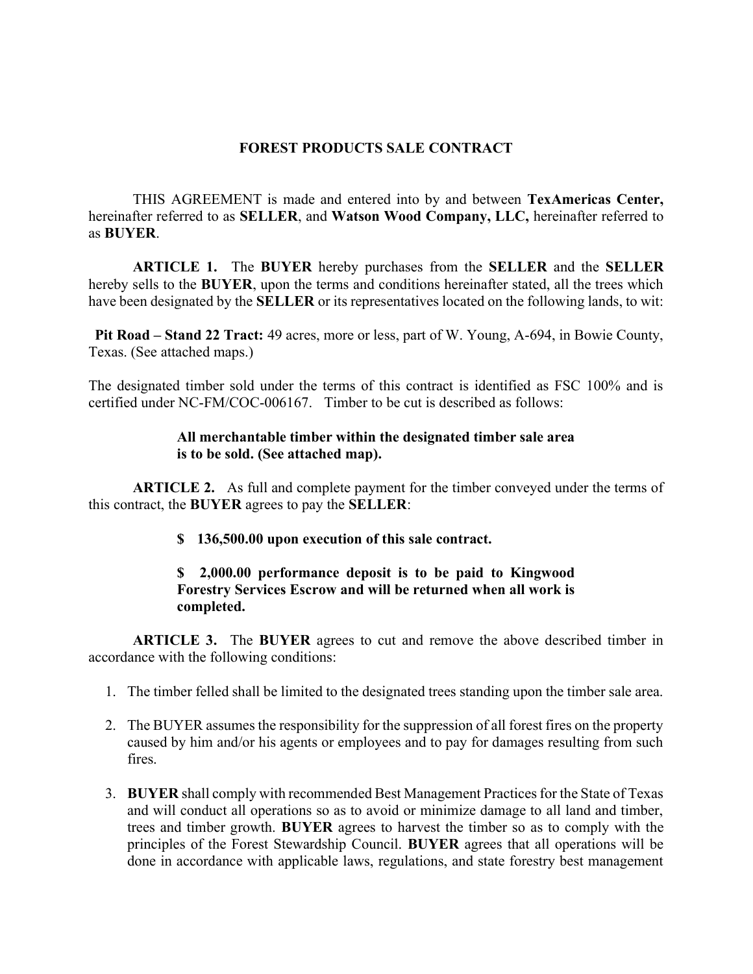### FOREST PRODUCTS SALE CONTRACT

THIS AGREEMENT is made and entered into by and between TexAmericas Center, hereinafter referred to as SELLER, and Watson Wood Company, LLC, hereinafter referred to as BUYER.

ARTICLE 1. The BUYER hereby purchases from the SELLER and the SELLER hereby sells to the BUYER, upon the terms and conditions hereinafter stated, all the trees which have been designated by the **SELLER** or its representatives located on the following lands, to wit:

Pit Road – Stand 22 Tract: 49 acres, more or less, part of W. Young, A-694, in Bowie County, Texas. (See attached maps.)

The designated timber sold under the terms of this contract is identified as FSC 100% and is certified under NC-FM/COC-006167. Timber to be cut is described as follows:

#### All merchantable timber within the designated timber sale area is to be sold. (See attached map).

**ARTICLE 2.** As full and complete payment for the timber conveyed under the terms of this contract, the BUYER agrees to pay the SELLER:

\$ 136,500.00 upon execution of this sale contract.

### \$ 2,000.00 performance deposit is to be paid to Kingwood Forestry Services Escrow and will be returned when all work is completed.

ARTICLE 3. The BUYER agrees to cut and remove the above described timber in accordance with the following conditions:

- 1. The timber felled shall be limited to the designated trees standing upon the timber sale area.
- 2. The BUYER assumes the responsibility for the suppression of all forest fires on the property caused by him and/or his agents or employees and to pay for damages resulting from such fires.
- 3. BUYER shall comply with recommended Best Management Practices for the State of Texas and will conduct all operations so as to avoid or minimize damage to all land and timber, trees and timber growth. BUYER agrees to harvest the timber so as to comply with the principles of the Forest Stewardship Council. BUYER agrees that all operations will be done in accordance with applicable laws, regulations, and state forestry best management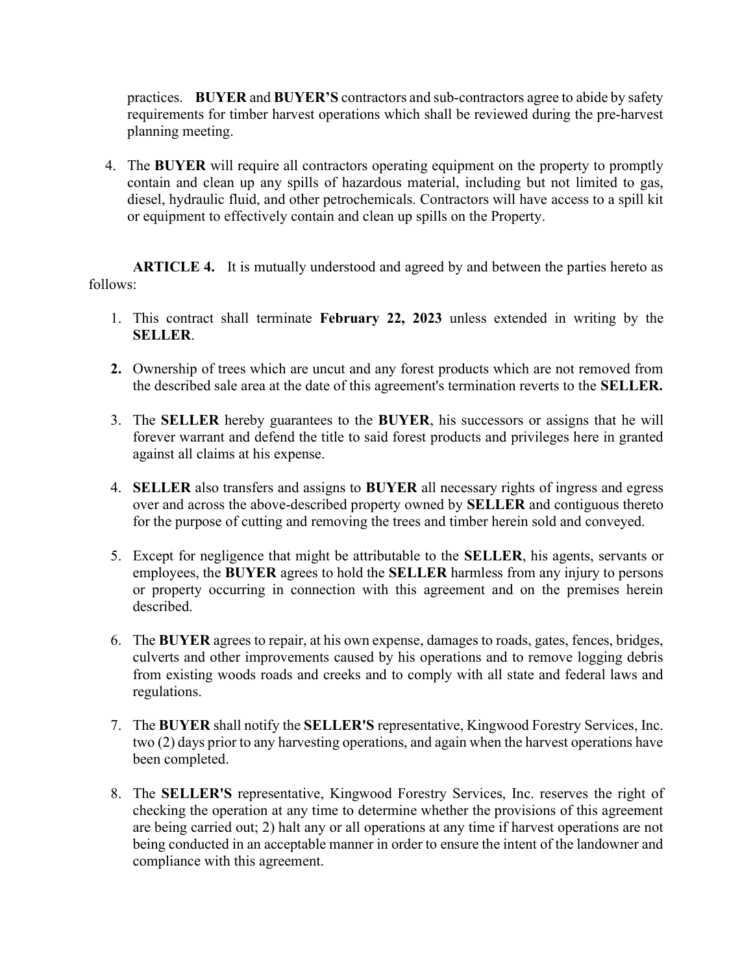practices. BUYER and BUYER'S contractors and sub-contractors agree to abide by safety requirements for timber harvest operations which shall be reviewed during the pre-harvest planning meeting.

4. The BUYER will require all contractors operating equipment on the property to promptly contain and clean up any spills of hazardous material, including but not limited to gas, diesel, hydraulic fluid, and other petrochemicals. Contractors will have access to a spill kit or equipment to effectively contain and clean up spills on the Property.

ARTICLE 4. It is mutually understood and agreed by and between the parties hereto as follows:

- 1. This contract shall terminate February 22, 2023 unless extended in writing by the SELLER.
- 2. Ownership of trees which are uncut and any forest products which are not removed from the described sale area at the date of this agreement's termination reverts to the SELLER.
- 3. The SELLER hereby guarantees to the BUYER, his successors or assigns that he will forever warrant and defend the title to said forest products and privileges here in granted against all claims at his expense.
- 4. SELLER also transfers and assigns to BUYER all necessary rights of ingress and egress over and across the above-described property owned by SELLER and contiguous thereto for the purpose of cutting and removing the trees and timber herein sold and conveyed.
- 5. Except for negligence that might be attributable to the SELLER, his agents, servants or employees, the BUYER agrees to hold the SELLER harmless from any injury to persons or property occurring in connection with this agreement and on the premises herein described.
- 6. The BUYER agrees to repair, at his own expense, damages to roads, gates, fences, bridges, culverts and other improvements caused by his operations and to remove logging debris from existing woods roads and creeks and to comply with all state and federal laws and regulations.
- 7. The BUYER shall notify the SELLER'S representative, Kingwood Forestry Services, Inc. two (2) days prior to any harvesting operations, and again when the harvest operations have been completed.
- 8. The SELLER'S representative, Kingwood Forestry Services, Inc. reserves the right of checking the operation at any time to determine whether the provisions of this agreement are being carried out; 2) halt any or all operations at any time if harvest operations are not being conducted in an acceptable manner in order to ensure the intent of the landowner and compliance with this agreement.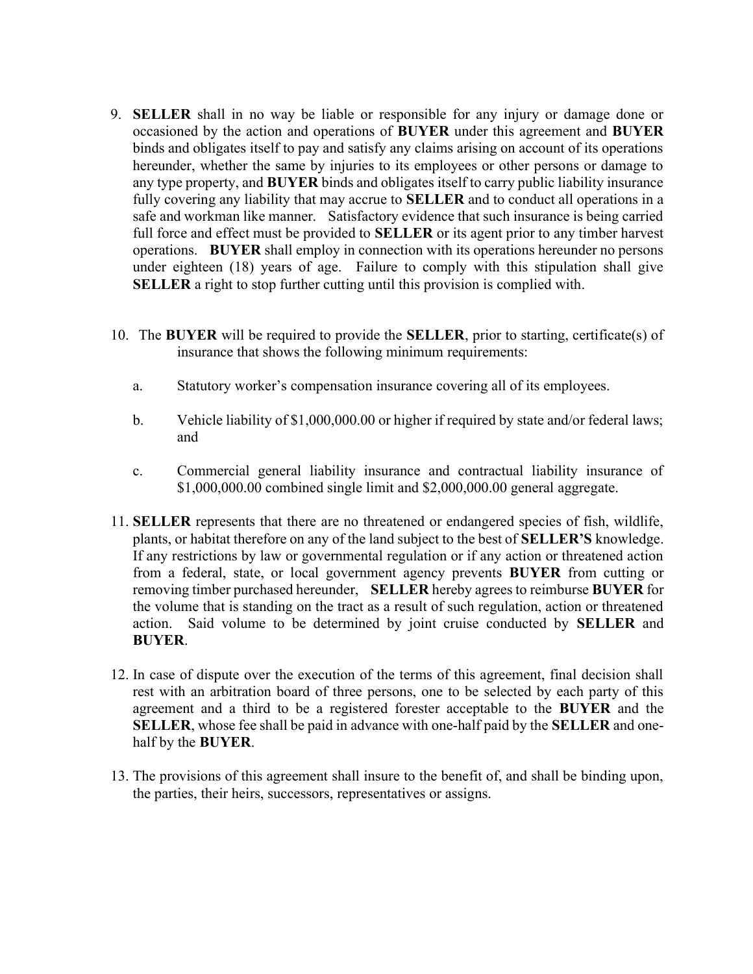- 9. SELLER shall in no way be liable or responsible for any injury or damage done or occasioned by the action and operations of BUYER under this agreement and BUYER binds and obligates itself to pay and satisfy any claims arising on account of its operations hereunder, whether the same by injuries to its employees or other persons or damage to any type property, and **BUYER** binds and obligates itself to carry public liability insurance fully covering any liability that may accrue to **SELLER** and to conduct all operations in a safe and workman like manner. Satisfactory evidence that such insurance is being carried full force and effect must be provided to **SELLER** or its agent prior to any timber harvest operations. BUYER shall employ in connection with its operations hereunder no persons under eighteen (18) years of age. Failure to comply with this stipulation shall give SELLER a right to stop further cutting until this provision is complied with.
- 10. The BUYER will be required to provide the SELLER, prior to starting, certificate(s) of insurance that shows the following minimum requirements:
	- a. Statutory worker's compensation insurance covering all of its employees.
	- b. Vehicle liability of \$1,000,000.00 or higher if required by state and/or federal laws; and
	- c. Commercial general liability insurance and contractual liability insurance of \$1,000,000.00 combined single limit and \$2,000,000.00 general aggregate.
- 11. SELLER represents that there are no threatened or endangered species of fish, wildlife, plants, or habitat therefore on any of the land subject to the best of SELLER'S knowledge. If any restrictions by law or governmental regulation or if any action or threatened action from a federal, state, or local government agency prevents BUYER from cutting or removing timber purchased hereunder, SELLER hereby agrees to reimburse BUYER for the volume that is standing on the tract as a result of such regulation, action or threatened action. Said volume to be determined by joint cruise conducted by SELLER and BUYER.
- 12. In case of dispute over the execution of the terms of this agreement, final decision shall rest with an arbitration board of three persons, one to be selected by each party of this agreement and a third to be a registered forester acceptable to the **BUYER** and the SELLER, whose fee shall be paid in advance with one-half paid by the SELLER and onehalf by the BUYER.
- 13. The provisions of this agreement shall insure to the benefit of, and shall be binding upon, the parties, their heirs, successors, representatives or assigns.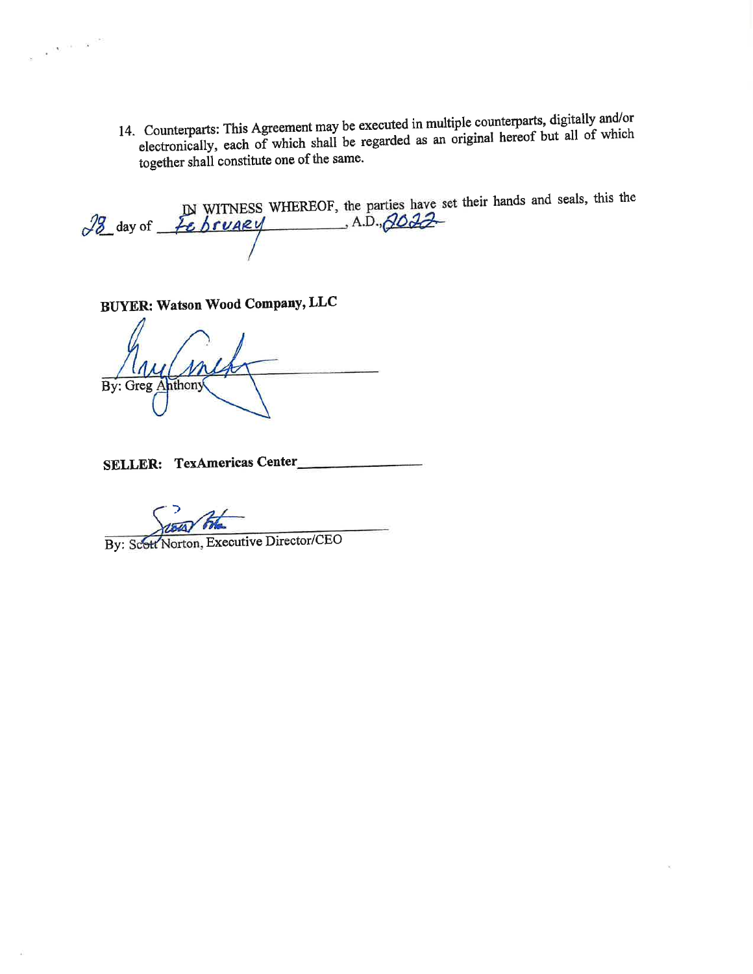14. Counterparts: This Agreement may be executed in multiple counterparts, digitally and/or electronically, each of which shall be regarded as an original hereof but all of which together shall constitute one of the same.

 $\frac{18}{28}$  day of  $\frac{18}{28}$  bruaky (A.D., 2022)

**BUYER: Watson Wood Company, LLC** 

 $\label{eq:1.1} \frac{1}{\Omega}\frac{\Delta\chi}{\Delta\chi} = 1.01 \times 10^{-10.05}$ 

Any (mehr

SELLER: TexAmericas Center

By: Scott Norton, Executive Director/CEO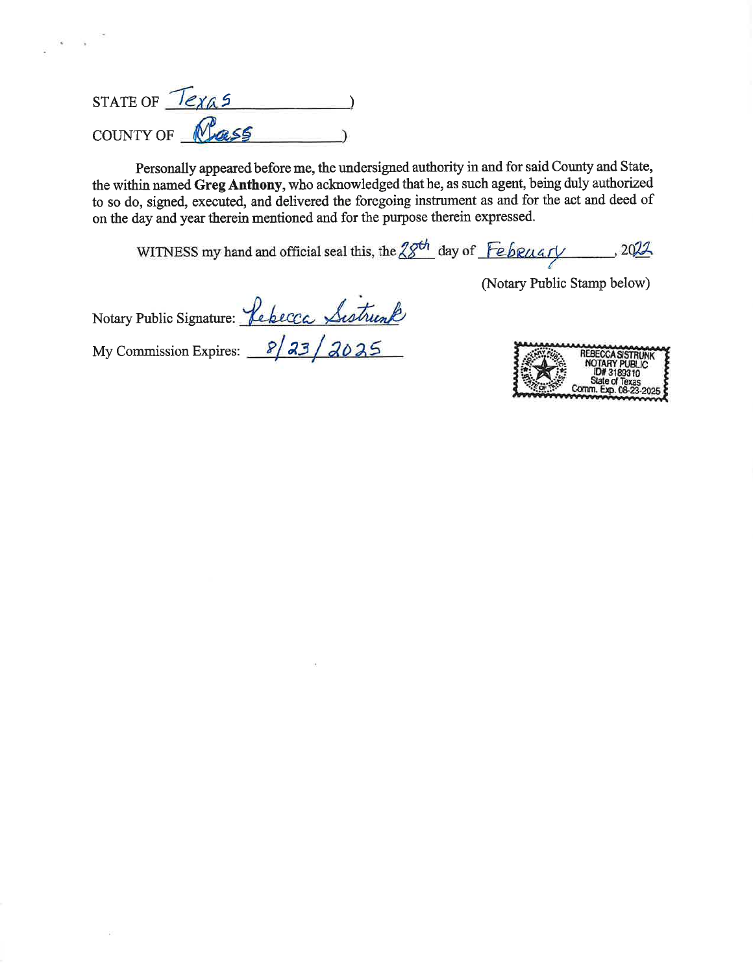| <b>STATE OF</b><br>lexas |     |  |
|--------------------------|-----|--|
| COUNTY OF                | 255 |  |

 $\epsilon = \sqrt{2}$ 

- 29

Personally appeared before me, the undersigned authority in and for said County and State, the within named Greg Anthony, who acknowledged that he, as such agent, being duly authorized to so do, signed, executed, and delivered the foregoing instrument as and for the act and deed of on the day and year therein mentioned and for the purpose therein expressed.

WITNESS my hand and official seal this, the  $28<sup>th</sup>$  day of February 3022.

Notary Public Signature: <u>Lebecca Sistrumb</u><br>My Commission Expires: 8/23/2025

| <b>REBECCA SISTRUNK</b>      |
|------------------------------|
| <b>NOTARY PUBLIC</b>         |
| ID#3189310<br>State of Texas |
| Comm. Exp. 08-23-2025 \$     |

(Notary Public Stamp below)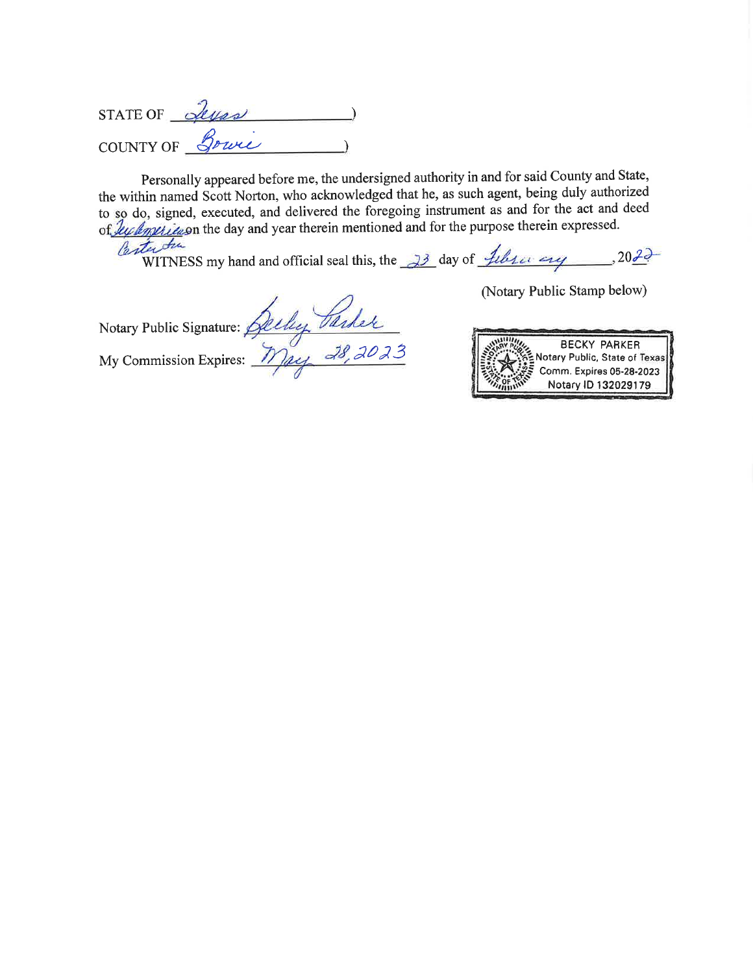STATE OF Seyas COUNTY OF Bowie

Personally appeared before me, the undersigned authority in and for said County and State, the within named Scott Norton, who acknowledged that he, as such agent, being duly authorized to so do, signed, executed, and delivered the foregoing instrument as and for the act and deed of ly lyptic is n the day and year therein mentioned and for the purpose therein expressed. Parter Au

WITNESS my hand and official seal this, the  $\frac{33}{2}$  day of  $\frac{1}{2}$  details  $\frac{1}{2}$ , 2022

Notary Public Signature: Ally Parker<br>My Commission Expires: <u>May 28, 2023</u>

(Notary Public Stamp below)